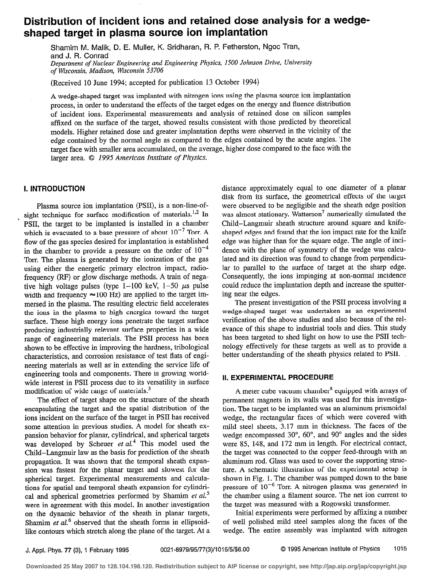# Distribution of incident ions and retained dose analysis for a wedgeshaped target in plasma source ion implantation

Shamim M. Malik, D. E. Muller, K. Sridharan, R. P. Fetherston, Ngoc Tran, and J. R. Conrad Department of Nuclear Engineering and Engineering Physics, 1500 Johnson Drive, University of Msconsin, Madison, Wisconsin 53706

(Received 10 June 1994; accepted for publication 13 October 1994)

A wedge-shaped target was implanted with nitrogen ions using the plasma source ion implantation process, in order to understand the effects of the target edges on the energy and fluence distribution of incident ions. Experimental measurements and analysis of retained dose on silicon samples affixed on the surface of the target, showed results consistent with those predicted by theoretical models. Higher retained dose and greater implantation depths were observed in the vicinity of the edge contained by the normal angle as compared to the edges contained by the acute angles. The target face with smaller area accumulated, on the average, higher dose compared to the face with the larger area.  $\oslash$  1995 American Institute of Physics.

## I. INTRODUCTION

Plasma source ion implantation (PSII), is a non-line-ofsight technique for surface modification of materials.<sup>1,2</sup> In PSII, the target to be implanted is installed in a chamber which is evacuated to a base pressure of about  $10^{-7}$  Torr. A flow of the gas species desired for implantation is established in the chamber to provide a pressure on the order of  $10^{-4}$ Torr. The plasma is generated by the ionization of the gas using either the energetic primary electron impact, radiofrequency (RF) or glow discharge methods. A train of negative high voltage pulses (type 1-100 keV,  $1-50 \mu s$  pulse width and frequency  $\approx$  100 Hz) are applied to the target immersed in the plasma. The resulting electric field accelerates the ions in the plasma to high energies toward the target surface. These high energy ions penetrate the target surface producing industrially relevant surface properties in a wide range of engineering materials. The PSI1 process has been shown to be effective in improving the hardness, tribological characteristics, and corrosion resistance of test hats of engineering materials as well as in extending the service life of engineering tools and components. There is growing worldwide interest in PSII process due to its versatility in surface modification of wide range of materials.<sup>3</sup>

The effect of target shape on the structure of the sheath encapsulating the target and the spatial distribution of the ions incident on the surface of the target in PSII has received some attention in previous studies. A model for sheath expansion behavior for planar, cylindrical, and spherical targets was developed by Scheuer  $et al.<sup>4</sup>$  This model used the Child-Langmuir law as the basis for prediction of the sheath propagation. It was shown that the temporal sheath expansion was fastest for the planar target and slowest for the spherical target. Experimental measurements and calculations for spatial and temporal sheath expansion for cylindrical and spherical geometries performed by Shamim et  $al$ .<sup>5</sup> were in agreement with this model. In another investigation on the dynamic behavior of the sheath in planar targets, Shamim et  $al$ .<sup>6</sup> observed that the sheath forms in ellipsoidlike contours which stretch along the plane of the target. At a distance approximately equal to one diameter of a planar disk from its surface, the geometrical effects of the target were observed to be negligible and the sheath edge position was almost stationary. Watterson<sup>7</sup> numerically simulated the Child-Langmuir sheath structure around square and knifeshaped edges and found that the ion impact rate for the knife edge was higher than for the square edge. The angle of incidence with the plane of symmetry of the wedge was calculated and its direction was found to change from perpendicular to parallel to the surface of target at the sharp edge. Consequently, the ions impinging at non-normal incidence could reduce the implantation depth and increase the sputtering near the edges.

The present investigation of the PSI1 process involving a wedge-shaped target was undertaken as an experimental verification of the above studies and also because of the rel: evance of this shape to industrial tools and dies. This study has been targeted to shed light on how to use the PSI1 technology effectively for these targets as well as to provide a better understanding of the sheath physics related to PSII.

## II. EXPERIMENTAL PROCEDURE

A meter cube vacuum chamber<sup>8</sup> equipped with arrays of permanent magnets in its walls was used for this investigation. The target to be implanted was an aluminum prismoidal wedge, the rectangular faces of which were covered with mild steel sheets, 3.17 mm in thickness. The faces of the wedge encompassed  $30^{\circ}$ ,  $60^{\circ}$ , and  $90^{\circ}$  angles and the sides were 85, 148, and 172 mm in length. For electrical contact, the target was connected to the copper feed-through with an aluminum rod. Glass was used to cover the supporting structure. A schematic illustration of the experimental setup is shown in Fig. 1. The chamber was pumped down to the base pressure of  $10^{-6}$  Torr. A nitrogen plasma was generated in the chamber using a filament source. The net ion current to the target was measured with a Rogowski transformer.

Initial experiments were performed by affixing a number of well polished mild steel samples along the faces of the wedge. The entire assembly was implanted with nitrogen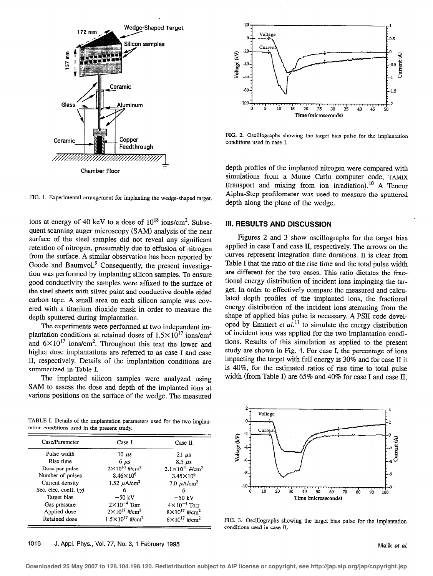

20 Voltage n Curre  $-20$ Voltage (kV) Current (A)  $-40$  $-60$ -80  $-100$ .<br>m  $0 \t 5 \t 10$ 15 20 25 30 35 40 45 50 Time (microseconds)

FIG. 2. Oscillographs showing the target bias pulse for the implantation conditions used in case I.

depth profiles of the implanted nitrogen were compared with simulations from a Monte Carlo computer code, TAMIX (transport and mixing from ion irradiation).<sup>10</sup> A Tencor Alpha-Step profilometer was used to measure the sputtered depth along the plane of the wedge.

## III. RESULTS AND DISCUSSION

Figures 2 and 3 show oscillographs for the target bias applied in case I and case II, respectively. The arrows on the curves represent integration time durations. It is clear from Table I that the ratio of the rise time and the total pulse width are different for the two cases. This ratio dictates the fractional energy distribution of incident ions impinging the target. In order to effectively compare the measured and calculated depth profiles of the implanted ions, the fractional energy distribution of the incident ions stemming from the shape of applied bias pulse is necessary. A PSI1 code developed by Emmert et  $a\bar{l}$ .<sup>11</sup> to simulate the energy distribution of incident ions was applied for the two implantation conditions. Results of this simulation as applied to the present study are shown in Fig. 4. For case I, the percentage of ions impacting the target with full energy is 30% and for case II it is 40%, for the estimated ratios of rise time to total pulse width (from Table I) are 65% and 40% for case I and case II,



FIG. 3. Oscillographs showing the target bias pulse for the implantation conditions used in case II.

FIG. 1. Experimental arrangement for implanting the wedge-shaped target.

ions at energy of 40 keV to a dose of  $10^{18}$  ions/cm<sup>2</sup>. Subsequent scanning auger microscopy (SAM) analysis of the near surface of the steel samples did not reveal any significant retention of nitrogen, presumably due to effusion of nitrogen from the surface. A similar observation has been reported by Goode and Baumvol.<sup>9</sup> Consequently, the present investigation was performed by implanting silicon samples. To ensure good conductivity the samples were affixed to the surface of the steel sheets with silver paint and conductive double-sided carbon tape. A small area on each silicon sample was covered with a titanium dioxide mask in order to measure the depth sputtered during implantation.

The experiments were performed at two independent implantation conditions at retained doses of  $1.5 \times 10^{17}$  ions/cm<sup>2</sup> and  $6\times10^{17}$  ions/cm<sup>2</sup>. Throughout this text the lower and higher dose implantations are referred to as case I and case II, respectively. Details of the implantation conditions are summarized in Table I.

The implanted silicon samples were analyzed using SAM to assess the dose and depth of the implanted ions at various positions on the surface of the wedge. The measured

TABLE I. Details of the implantation parameters used for the two implantation conditions used in the present study.

| Case/Parameter               | Case I                                 | Case II                                |
|------------------------------|----------------------------------------|----------------------------------------|
| Pulse width                  | 10 $\mu$ s                             | $21 \mu s$                             |
| Rise time                    | $6 \mu s$                              | $8.5 \ \mu s$                          |
| Dose per pulse               | $2 \times 10^{10}$ #/cm <sup>2</sup>   | $2.1 \times 10^{11}$ #/cm <sup>2</sup> |
| Number of pulses             | $8.46 \times 10^{6}$                   | $3.45 \times 10^{6}$                   |
| Current density              | 1.52 $\mu$ A/cm <sup>2</sup>           | 7.0 $\mu$ A/cm <sup>2</sup>            |
| Sec. elec. coeff. $(\gamma)$ | 6                                      | 6                                      |
| Target bias                  | $-50$ kV                               | $-50$ kV                               |
| Gas pressure                 | $2\times10^{-4}$ Torr                  | $4 \times 10^{-4}$ Torr                |
| Applied dose                 | $2 \times 10^{17}$ #/cm <sup>2</sup>   | $8 \times 10^{17}$ #/cm <sup>2</sup>   |
| Retained dose                | $1.5 \times 10^{17}$ #/cm <sup>2</sup> | $6 \times 10^{17}$ #lcm <sup>2</sup>   |
|                              |                                        |                                        |

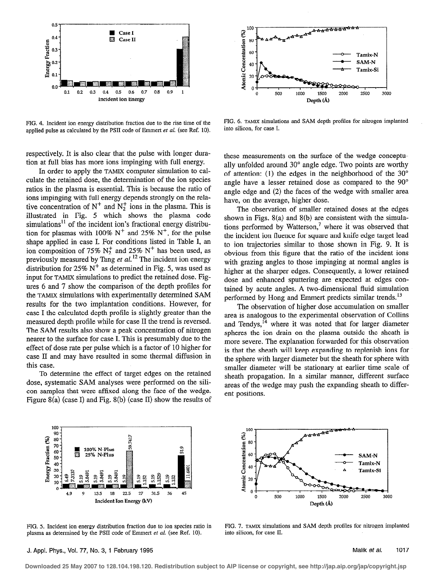

100 <del>ልልልልልልልል</del>ል g tration<br>disco  $\frac{1}{2}$   $\frac{1}{2}$   $\frac{1}{2}$   $\frac{1}{2}$   $\frac{1}{2}$   $\frac{1}{2}$   $\frac{1}{2}$   $\frac{1}{2}$   $\frac{1}{2}$   $\frac{1}{2}$   $\frac{1}{2}$   $\frac{1}{2}$   $\frac{1}{2}$   $\frac{1}{2}$   $\frac{1}{2}$   $\frac{1}{2}$   $\frac{1}{2}$   $\frac{1}{2}$   $\frac{1}{2}$   $\frac{1}{2}$   $\frac{1}{2}$   $\frac{1}{2}$   $\frac{3}{8}$  40  $\sqrt{N}$ Tamix-Si \*∃ 20 P 0 3000 0 500 1000 1500 2ow 2500 3 Depth (Å)

FIG. 4. Incident ion energy distribution fraction due to the rise time of the applied pulse as calculated by the PSII code of Emmert et al. (see Ref. 10).

respectively. It is also clear that the pulse with longer duration at full bias has more ions impinging with full energy.

In order to apply the TAMIX computer simulation to calculate the retained dose, the determination of the ion species ratios in the plasma is essential. This is because the ratio of ions impinging with full energy depends strongly on the relative concentration of  $N^+$  and  $N_2^+$  ions in the plasma. This is illustrated in Fig. 5 which shows the plasma code simulations<sup>11</sup> of the incident ion's fractional energy distribution for plasmas with 100%  $N^+$  and 25%  $N^+$ , for the pulse shape applied in case I. For conditions listed in Table I, an ion composition of 75%  $N_2^+$  and 25%  $N^+$  has been used, as previously measured by Tang et al.<sup>12</sup> The incident ion energy distribution for 25%  $N^+$  as determined in Fig. 5, was used as input for TAMIX simulations to predict the retained dose. Figures 6 and 7 show the comparison of the depth profiles for the TAMIX simulations with experimentally determined SAM results for the two implantation conditions. However, for case I the calculated depth profile is slightly greater than the measured depth profile while for case II the trend is reversed. The SAM results also show a peak concentration of nitrogen nearer to the surface for case I. This is presumably due to the effect of dose rate per pulse which is a factor of 10 higher for case II and may have resulted in some thermal diffusion in this case.

To determine the effect of target edges on the retained dose, systematic SAM analyses were performed on the silicon samples that were affixed along the face of the wedge. Figure 8(a) (case I) and Fig. 8(b) (case II) show the results of

FIG. 6. TAMIX simulations and SAM depth profiles for nitrogen implanted into silicon. for case I.

these measurements on the surface of the wedge conceptually unfolded around 30° angle edge. Two points are worthy of attention: (1) the edges in the neighborhood of the  $30^{\circ}$ angle have a lesser retained dose as compared to the 90° angle edge and (2) the faces of the wedge with smaller area have, on the average, higher dose.

The observation of smaller retained doses at the edges shown in Figs. S(a) and 8(b) are consistent with the simulations performed by Watterson,<sup>7</sup> where it was observed that the incident ion fluence for square and knife edge target lead to ion trajectories similar to those shown in Fig. 9. It is obvious from this figure that the ratio of the incident ions with grazing angles to those impinging at normal angles is higher at the sharper edges. Consequently, a lower retained dose and enhanced sputtering are expected at edges contained by acute angles. A two-dimensional fluid simulation performed by Hong and Emmert predicts similar trends.<sup>13</sup>

The observation of higher dose accumulation on smaller area is analogous to the experimental observation of Collins and Tendys, $^{14}$  where it was noted that for larger diameter spheres the ion drain on the plasma outside the sheath is more severe. The explanation forwarded for this observation is that the sheath will keep expanding to replenish ions for the sphere with larger diameter but the sheath for sphere with smaller diameter will be stationary at earlier time scale of sheath propagation. In a similar manner, different surface areas of the wedge may push the expanding sheath to different positions.



FIG. 5. Incident ion energy distribution fraction due to ion species ratio in plasma as determined by the PSII code of Emmert et al. (see Ref. 10).

100  $4555$ දී<br>E 80 .s  $\frac{1}{8}$  60  $\frac{1}{8}$   $\frac{1}{8}$   $\frac{1}{8}$   $\frac{1}{8}$   $\frac{1}{8}$   $\frac{1}{8}$   $\frac{1}{8}$   $\frac{1}{8}$   $\frac{1}{8}$   $\frac{1}{8}$   $\frac{1}{8}$   $\frac{1}{8}$   $\frac{1}{8}$   $\frac{1}{8}$   $\frac{1}{8}$   $\frac{1}{8}$   $\frac{1}{8}$   $\frac{1}{8}$   $\frac{1}{8}$   $\frac{1}{8}$   $\frac{1}{8}$ 2 - Tamix-N  $\bigcup$   $\bigcup$   $\bigcup$   $\bigcup$   $\bigcup$   $\bigcap$   $\bigcap$   $\bigcap$   $\bigcap$   $\bigcap$   $\bigcap$   $\bigcap$   $\bigcap$   $\bigcap$   $\bigcap$   $\bigcap$   $\bigcap$   $\bigcap$   $\bigcap$   $\bigcap$   $\bigcap$   $\bigcap$   $\bigcap$   $\bigcap$   $\bigcap$   $\bigcap$   $\bigcap$   $\bigcap$   $\bigcap$   $\bigcap$   $\bigcap$   $\bigcap$   $\bigcap$   $\bigcap$   $\bigcap$   $\bigcap$   $\bigcap$ 걸 20 ž,  $\bf{0}$ 0 500 1000 1500 2000 2500 3000 Depth (Å)

FIG. 7. TAMIX simulations and SAM depth profiles for nitrogen implanted into silicon, for case II.

#### J. Appl. Phys., Vol. 77, No. 3, 1 February 1995 Malik et al. 1017

**Downloaded 25 May 2007 to 128.104.198.120. Redistribution subject to AIP license or copyright, see http://jap.aip.org/jap/copyright.jsp**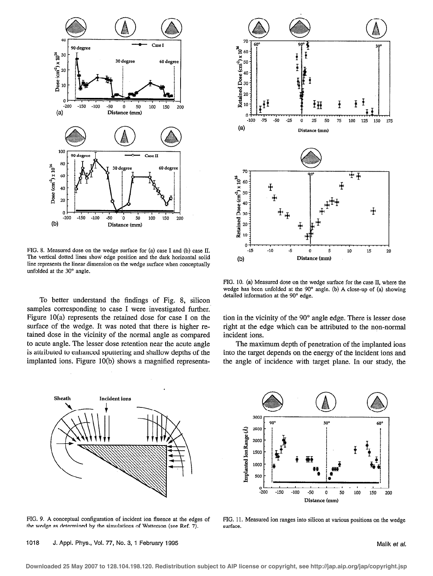

FIG. 8. Measured dose on the wedge surface for (a) case I and (b) case II. The vertical dotted lines show' edge position and the dark horizontal solid line represents the linear dimension on the wedge surface when conceptually unfolded at the 30° angle.

To better understand the findings of Fig. 8, silicon samples corresponding to case I were investigated further. Figure 10(a) represents the retained dose for case I on the surface of the wedge. It was noted that there is higher retained dose in the vicinity of the normal angle as compared to acute angle. The lesser dose retention near the acute angle is attributed to enhanced sputtering and shallow depths of the implanted ions. Figure 10(b) shows a magnified representa-



FIG. 9. A conceptual configuration of incident ion fluence at the edges of FIG. 11. Measured ion ranges into silicon at various positions on the wedge the wedge as determined by the simulations of Watterson (see Ref. 7). the wedge as determined by the simulations of Watterson (see Ref. 7).



FIG. 10. (a) Measured dose on the wedge surface for the case II, where the wedge has been unfolded at the 90" angle. (b) A close-up of (a) showing detailed information at the 90° edge.

tion in the vicinity of the 90" angle edge. There is lesser dose right at the edge which can be attributed to the non-normal incident ions.

The maximum depth of penetration of the implanted ions into the target depends on the energy of the incident ions and the angle of incidence with target plane. In our study, the



**Downloaded 25 May 2007 to 128.104.198.120. Redistribution subject to AIP license or copyright, see http://jap.aip.org/jap/copyright.jsp**